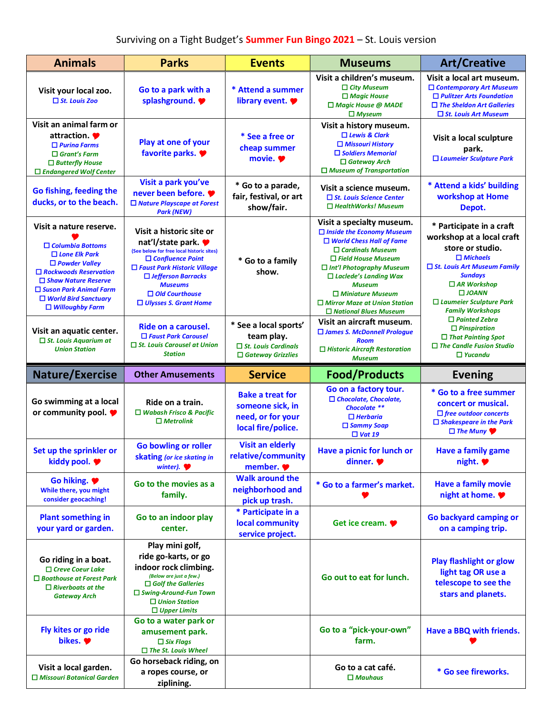| <b>Animals</b>                                                                                                                                                                                                                                             | <b>Parks</b>                                                                                                                                                                                                                                                     | <b>Events</b>                                                                                 | <b>Museums</b>                                                                                                                                                                                                                                                                                                                                 | <b>Art/Creative</b>                                                                                                                                                                                                                                        |
|------------------------------------------------------------------------------------------------------------------------------------------------------------------------------------------------------------------------------------------------------------|------------------------------------------------------------------------------------------------------------------------------------------------------------------------------------------------------------------------------------------------------------------|-----------------------------------------------------------------------------------------------|------------------------------------------------------------------------------------------------------------------------------------------------------------------------------------------------------------------------------------------------------------------------------------------------------------------------------------------------|------------------------------------------------------------------------------------------------------------------------------------------------------------------------------------------------------------------------------------------------------------|
| Visit your local zoo.<br>$\Box$ St. Louis Zoo                                                                                                                                                                                                              | Go to a park with a<br>splashground.                                                                                                                                                                                                                             | * Attend a summer<br>library event.                                                           | Visit a children's museum.<br>$\Box$ City Museum<br>$\Box$ Magic House<br>$\Box$ Magic House @ MADE<br>$\Box$ Myseum                                                                                                                                                                                                                           | Visit a local art museum.<br>$\Box$ Contemporary Art Museum<br>$\Box$ Pulitzer Arts Foundation<br>$\Box$ The Sheldon Art Galleries<br>$\Box$ St. Louis Art Museum                                                                                          |
| Visit an animal farm or<br>attraction.<br>$\Box$ Purina Farms<br>$\Box$ Grant's Farm<br>$\Box$ Butterfly House<br>$\Box$ Endangered Wolf Center                                                                                                            | Play at one of your<br>favorite parks.                                                                                                                                                                                                                           | * See a free or<br>cheap summer<br>movie. $\bullet$                                           | Visit a history museum.<br>$\Box$ Lewis & Clark<br>$\Box$ Missouri History<br>$\Box$ Soldiers Memorial<br>$\Box$ Gateway Arch<br>$\Box$ Museum of Transportation                                                                                                                                                                               | Visit a local sculpture<br>park.<br>□ Laumeier Sculpture Park                                                                                                                                                                                              |
| Go fishing, feeding the<br>ducks, or to the beach.                                                                                                                                                                                                         | Visit a park you've<br>never been before.<br>$\Box$ Nature Playscape at Forest<br><b>Park (NEW)</b>                                                                                                                                                              | * Go to a parade,<br>fair, festival, or art<br>show/fair.                                     | Visit a science museum.<br>□ St. Louis Science Center<br>$\Box$ HealthWorks! Museum                                                                                                                                                                                                                                                            | * Attend a kids' building<br>workshop at Home<br>Depot.                                                                                                                                                                                                    |
| Visit a nature reserve.<br>$\Box$ Columbia Bottoms<br>$\Box$ Lone Elk Park<br>$\Box$ Powder Valley<br>$\Box$ Rockwoods Reservation<br>$\Box$ Shaw Nature Reserve<br>$\Box$ Suson Park Animal Farm<br>$\Box$ World Bird Sanctuary<br>$\Box$ Willoughby Farm | Visit a historic site or<br>nat'l/state park. ♥<br>(See below for free local historic sites)<br>$\Box$ Confluence Point<br>$\Box$ Faust Park Historic Village<br>□ Jefferson Barracks<br><b>Museums</b><br>$\Box$ Old Courthouse<br>$\Box$ Ulysses S. Grant Home | * Go to a family<br>show.                                                                     | Visit a specialty museum.<br>$\Box$ Inside the Economy Museum<br>$\Box$ World Chess Hall of Fame<br>$\Box$ Cardinals Museum<br>$\Box$ Field House Museum<br>$\Box$ Int'l Photography Museum<br>$\Box$ Laclede's Landing Wax<br><b>Museum</b><br>$\Box$ Miniature Museum<br>$\Box$ Mirror Maze at Union Station<br>$\Box$ National Blues Museum | * Participate in a craft<br>workshop at a local craft<br>store or studio.<br>$\Box$ Michaels<br>$\Box$ St. Louis Art Museum Family<br><b>Sundays</b><br>$\Box$ AR Workshop<br>$\square$ JOANN<br>$\Box$ Laumeier Sculpture Park<br><b>Family Workshops</b> |
| Visit an aquatic center.<br>$\Box$ St. Louis Aquarium at<br><b>Union Station</b>                                                                                                                                                                           | Ride on a carousel.<br>$\Box$ Faust Park Carousel<br>$\Box$ St. Louis Carousel at Union<br><b>Station</b>                                                                                                                                                        | * See a local sports'<br>team play.<br>$\Box$ St. Louis Cardinals<br>$\Box$ Gateway Grizzlies | Visit an aircraft museum.<br>$\Box$ James S. McDonnell Prologue<br><b>Room</b><br>$\Box$ Historic Aircraft Restoration<br><b>Museum</b>                                                                                                                                                                                                        | $\Box$ Painted Zebra<br>$\Box$ Pinspiration<br>$\Box$ That Painting Spot<br>$\Box$ The Candle Fusion Studio<br>$\Box$ Yucandu                                                                                                                              |
|                                                                                                                                                                                                                                                            |                                                                                                                                                                                                                                                                  |                                                                                               |                                                                                                                                                                                                                                                                                                                                                |                                                                                                                                                                                                                                                            |
| <b>Nature/Exercise</b>                                                                                                                                                                                                                                     | <b>Other Amusements</b>                                                                                                                                                                                                                                          | <b>Service</b>                                                                                | <b>Food/Products</b>                                                                                                                                                                                                                                                                                                                           | <b>Evening</b>                                                                                                                                                                                                                                             |
| Go swimming at a local<br>or community pool.                                                                                                                                                                                                               | Ride on a train.<br>$\Box$ Wabash Frisco & Pacific<br>$\square$ Metrolink                                                                                                                                                                                        | <b>Bake a treat for</b><br>someone sick, in<br>need, or for your<br>local fire/police.        | Go on a factory tour.<br>$\Box$ Chocolate, Chocolate,<br>Chocolate **<br>$\Box$ Herbaria<br>$\Box$ Sammy Soap<br>$\Box$ Vat 19                                                                                                                                                                                                                 | * Go to a free summer<br>concert or musical.<br>$\Box$ free outdoor concerts<br>$\Box$ Shakespeare in the Park<br>$\Box$ The Muny                                                                                                                          |
| Set up the sprinkler or<br>kiddy pool.                                                                                                                                                                                                                     | <b>Go bowling or roller</b><br>skating (or ice skating in<br>winter). $\blacktriangleright$                                                                                                                                                                      | <b>Visit an elderly</b><br>relative/community<br>member.                                      | Have a picnic for lunch or<br>dinner.                                                                                                                                                                                                                                                                                                          | <b>Have a family game</b><br>night.                                                                                                                                                                                                                        |
| Go hiking.<br>While there, you might<br>consider geocaching!                                                                                                                                                                                               | Go to the movies as a<br>family.                                                                                                                                                                                                                                 | <b>Walk around the</b><br>neighborhood and<br>pick up trash.                                  | * Go to a farmer's market.                                                                                                                                                                                                                                                                                                                     | <b>Have a family movie</b><br>night at home.                                                                                                                                                                                                               |
| <b>Plant something in</b><br>your yard or garden.                                                                                                                                                                                                          | Go to an indoor play<br>center.                                                                                                                                                                                                                                  | * Participate in a<br>local community<br>service project.                                     | Get ice cream.                                                                                                                                                                                                                                                                                                                                 | Go backyard camping or<br>on a camping trip.                                                                                                                                                                                                               |
| Go riding in a boat.<br>$\Box$ Creve Coeur Lake<br>$\Box$ Boathouse at Forest Park<br>$\Box$ Riverboats at the<br><b>Gateway Arch</b>                                                                                                                      | Play mini golf,<br>ride go-karts, or go<br>indoor rock climbing.<br>(Below are just a few.)<br>$\Box$ Golf the Galleries<br>$\Box$ Swing-Around-Fun Town<br>$\Box$ Union Station<br>$\Box$ Upper Limits                                                          |                                                                                               | Go out to eat for lunch.                                                                                                                                                                                                                                                                                                                       | <b>Play flashlight or glow</b><br>light tag OR use a<br>telescope to see the<br>stars and planets.                                                                                                                                                         |
| Fly kites or go ride<br>bikes. $\bullet$                                                                                                                                                                                                                   | Go to a water park or<br>amusement park.<br>$\Box$ Six Flags<br>$\Box$ The St. Louis Wheel                                                                                                                                                                       |                                                                                               | Go to a "pick-your-own"<br>farm.                                                                                                                                                                                                                                                                                                               | Have a BBQ with friends.                                                                                                                                                                                                                                   |